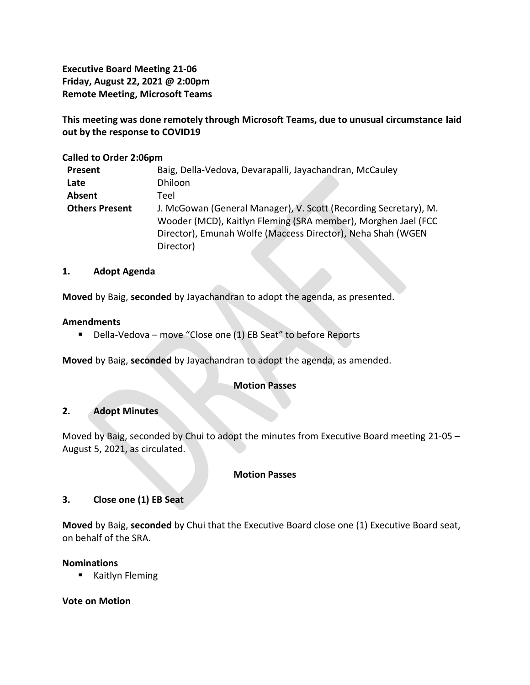**Executive Board Meeting 21-06 Friday, August 22, 2021 @ 2:00pm Remote Meeting, Microsoft Teams**

**This meeting was done remotely through Microsoft Teams, due to unusual circumstance laid out by the response to COVID19**

# **Called to Order 2:06pm**

| Present               | Baig, Della-Vedova, Devarapalli, Jayachandran, McCauley          |  |  |
|-----------------------|------------------------------------------------------------------|--|--|
| Late                  | Dhiloon                                                          |  |  |
| Absent                | Teel                                                             |  |  |
| <b>Others Present</b> | J. McGowan (General Manager), V. Scott (Recording Secretary), M. |  |  |
|                       | Wooder (MCD), Kaitlyn Fleming (SRA member), Morghen Jael (FCC    |  |  |
|                       | Director), Emunah Wolfe (Maccess Director), Neha Shah (WGEN      |  |  |
|                       | Director)                                                        |  |  |

# **1. Adopt Agenda**

**Moved** by Baig, **seconded** by Jayachandran to adopt the agenda, as presented.

### **Amendments**

■ Della-Vedova – move "Close one (1) EB Seat" to before Reports

**Moved** by Baig, **seconded** by Jayachandran to adopt the agenda, as amended.

# **Motion Passes**

# **2. Adopt Minutes**

Moved by Baig, seconded by Chui to adopt the minutes from Executive Board meeting 21-05 – August 5, 2021, as circulated.

#### **Motion Passes**

# **3. Close one (1) EB Seat**

**Moved** by Baig, **seconded** by Chui that the Executive Board close one (1) Executive Board seat, on behalf of the SRA.

# **Nominations**

■ Kaitlyn Fleming

# **Vote on Motion**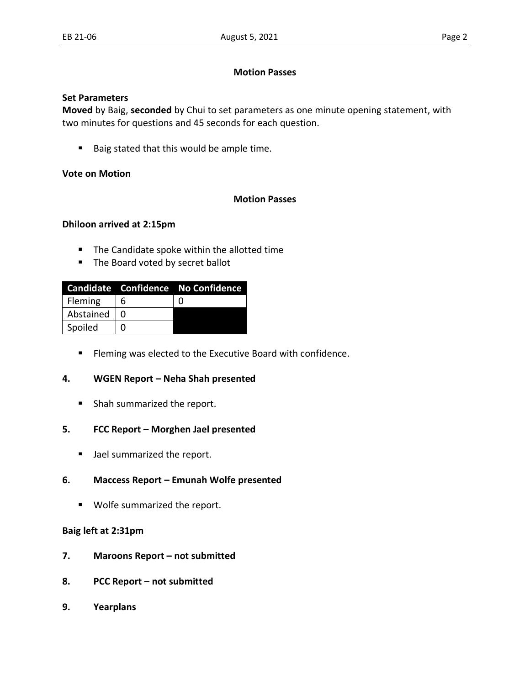### **Motion Passes**

### **Set Parameters**

**Moved** by Baig, **seconded** by Chui to set parameters as one minute opening statement, with two minutes for questions and 45 seconds for each question.

■ Baig stated that this would be ample time.

# **Vote on Motion**

# **Motion Passes**

### **Dhiloon arrived at 2:15pm**

- The Candidate spoke within the allotted time
- The Board voted by secret ballot

|           |   | Candidate Confidence No Confidence |
|-----------|---|------------------------------------|
| Fleming   | 6 |                                    |
| Abstained |   |                                    |
| Spoiled   |   |                                    |

■ Fleming was elected to the Executive Board with confidence.

# **4. WGEN Report – Neha Shah presented**

■ Shah summarized the report.

# **5. FCC Report – Morghen Jael presented**

■ Jael summarized the report.

# **6. Maccess Report – Emunah Wolfe presented**

■ Wolfe summarized the report.

#### **Baig left at 2:31pm**

- **7. Maroons Report – not submitted**
- **8. PCC Report – not submitted**
- **9. Yearplans**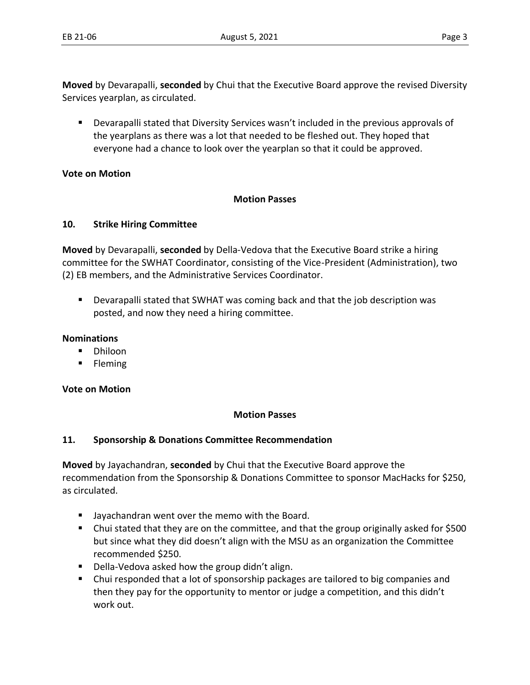**Moved** by Devarapalli, **seconded** by Chui that the Executive Board approve the revised Diversity Services yearplan, as circulated.

Devarapalli stated that Diversity Services wasn't included in the previous approvals of the yearplans as there was a lot that needed to be fleshed out. They hoped that everyone had a chance to look over the yearplan so that it could be approved.

# **Vote on Motion**

# **Motion Passes**

# **10. Strike Hiring Committee**

**Moved** by Devarapalli, **seconded** by Della-Vedova that the Executive Board strike a hiring committee for the SWHAT Coordinator, consisting of the Vice-President (Administration), two (2) EB members, and the Administrative Services Coordinator.

▪ Devarapalli stated that SWHAT was coming back and that the job description was posted, and now they need a hiring committee.

### **Nominations**

- Dhiloon
- Fleming

# **Vote on Motion**

# **Motion Passes**

# **11. Sponsorship & Donations Committee Recommendation**

**Moved** by Jayachandran, **seconded** by Chui that the Executive Board approve the recommendation from the Sponsorship & Donations Committee to sponsor MacHacks for \$250, as circulated.

- Jayachandran went over the memo with the Board.
- Chui stated that they are on the committee, and that the group originally asked for \$500 but since what they did doesn't align with the MSU as an organization the Committee recommended \$250.
- Della-Vedova asked how the group didn't align.
- Chui responded that a lot of sponsorship packages are tailored to big companies and then they pay for the opportunity to mentor or judge a competition, and this didn't work out.